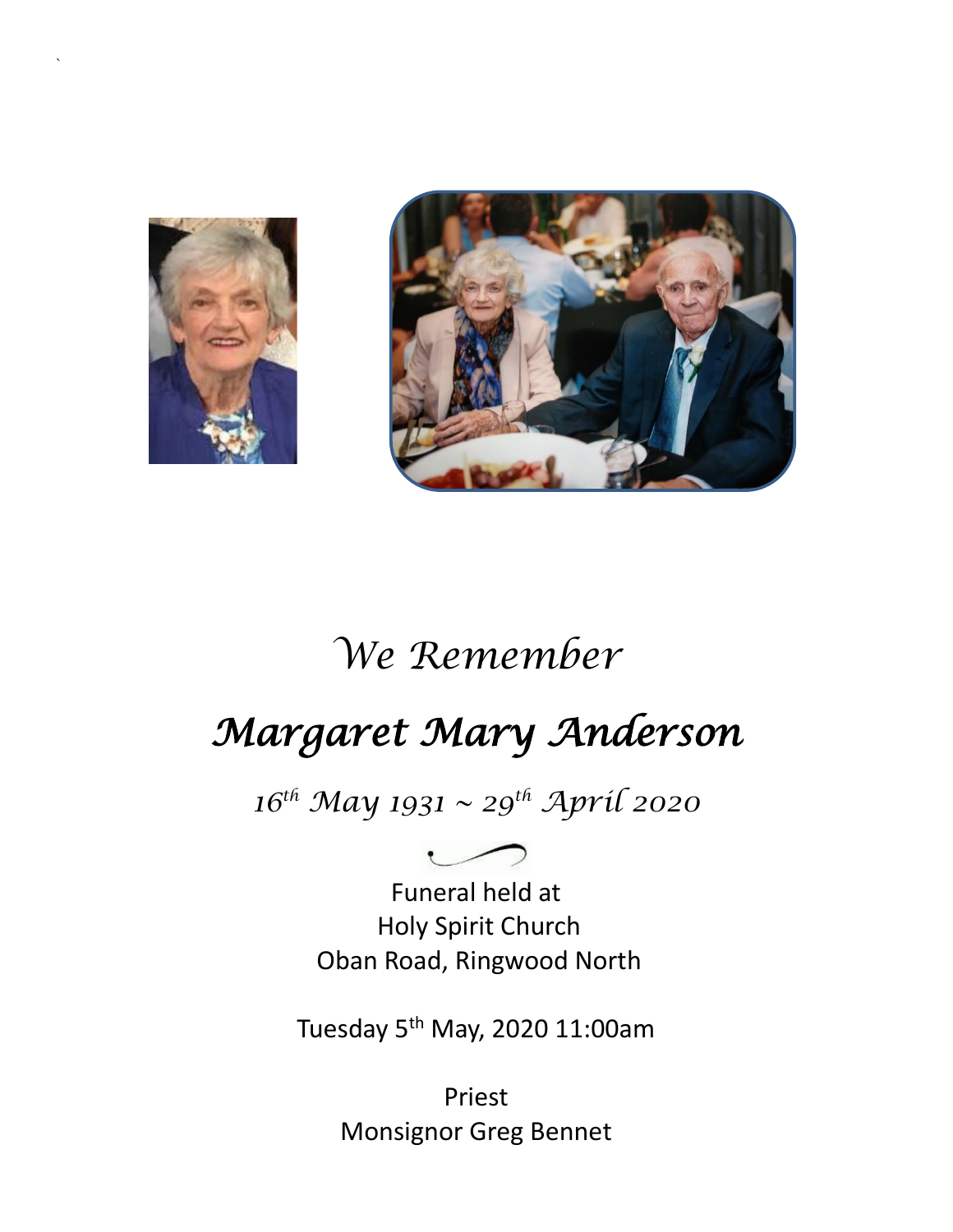

`



# *We Remember*

# *Margaret Mary Anderson*

*16th May 1931 ~ 29th April 2020*

Funeral held at Holy Spirit Church Oban Road, Ringwood North

Tuesday 5th May, 2020 11:00am

Priest Monsignor Greg Bennet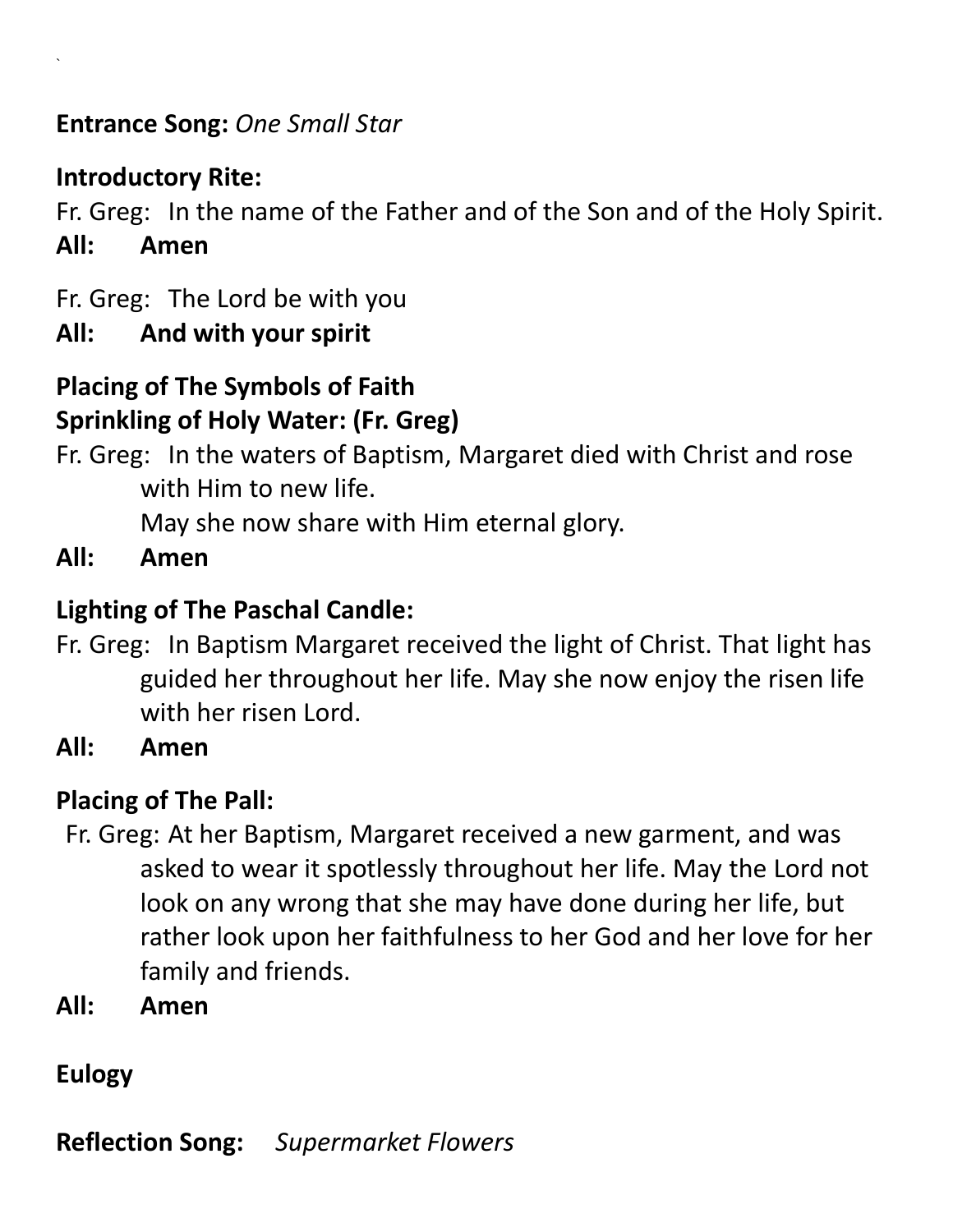**Entrance Song:** *One Small Star* 

#### **Introductory Rite:**

`

Fr. Greg: In the name of the Father and of the Son and of the Holy Spirit. **All: Amen**

Fr. Greg: The Lord be with you

#### **All: And with your spirit**

#### **Placing of The Symbols of Faith Sprinkling of Holy Water: (Fr. Greg)**

Fr. Greg: In the waters of Baptism, Margaret died with Christ and rose with Him to new life.

May she now share with Him eternal glory.

**All: Amen** 

### **Lighting of The Paschal Candle:**

- Fr. Greg: In Baptism Margaret received the light of Christ. That light has guided her throughout her life. May she now enjoy the risen life with her risen Lord.
- **All: Amen**

### **Placing of The Pall:**

- Fr. Greg: At her Baptism, Margaret received a new garment, and was asked to wear it spotlessly throughout her life. May the Lord not look on any wrong that she may have done during her life, but rather look upon her faithfulness to her God and her love for her family and friends.
- **All: Amen**

# **Eulogy**

**Reflection Song:** *Supermarket Flowers*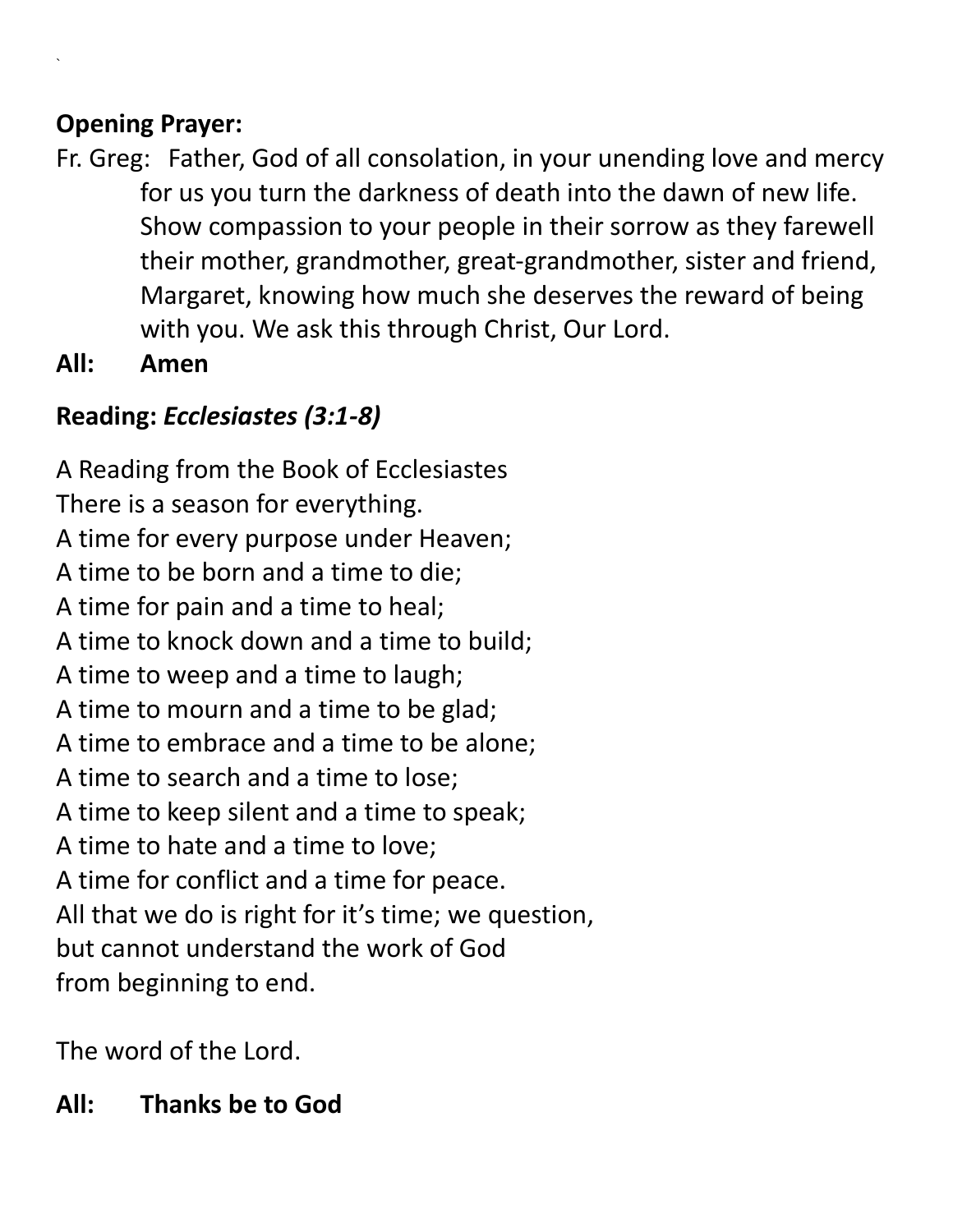#### **Opening Prayer:**

`

- Fr. Greg: Father, God of all consolation, in your unending love and mercy for us you turn the darkness of death into the dawn of new life. Show compassion to your people in their sorrow as they farewell their mother, grandmother, great-grandmother, sister and friend, Margaret, knowing how much she deserves the reward of being with you. We ask this through Christ, Our Lord.
- **All: Amen**

# **Reading:** *Ecclesiastes (3:1-8)*

A Reading from the Book of Ecclesiastes There is a season for everything. A time for every purpose under Heaven; A time to be born and a time to die; A time for pain and a time to heal; A time to knock down and a time to build; A time to weep and a time to laugh; A time to mourn and a time to be glad; A time to embrace and a time to be alone; A time to search and a time to lose; A time to keep silent and a time to speak; A time to hate and a time to love; A time for conflict and a time for peace. All that we do is right for it's time; we question, but cannot understand the work of God from beginning to end.

The word of the Lord.

# **All: Thanks be to God**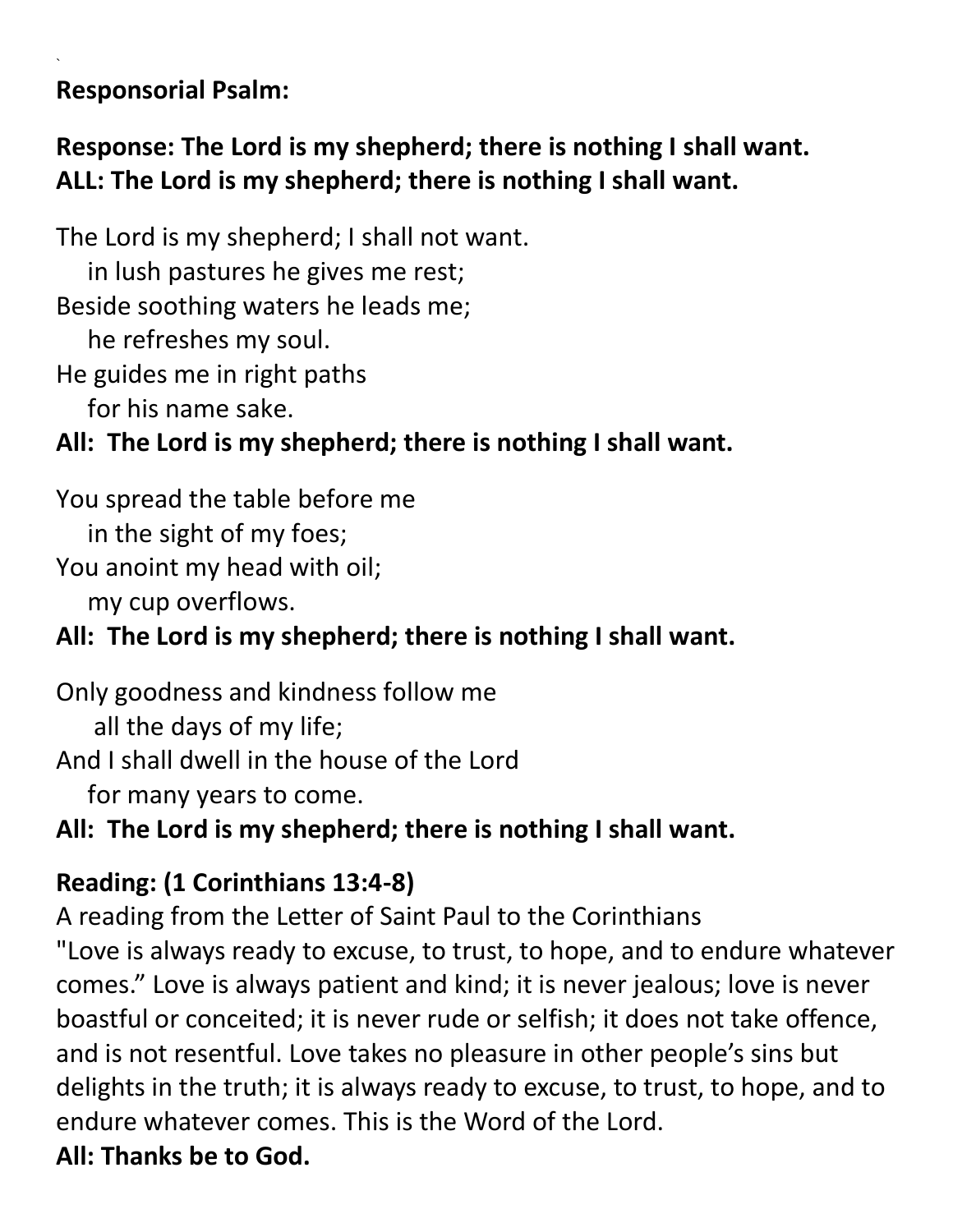#### **Responsorial Psalm:**

`

## **Response: The Lord is my shepherd; there is nothing I shall want. ALL: The Lord is my shepherd; there is nothing I shall want.**

The Lord is my shepherd; I shall not want. in lush pastures he gives me rest; Beside soothing waters he leads me; he refreshes my soul. He guides me in right paths for his name sake.

## **All: The Lord is my shepherd; there is nothing I shall want.**

You spread the table before me in the sight of my foes; You anoint my head with oil;

my cup overflows.

# **All: The Lord is my shepherd; there is nothing I shall want.**

Only goodness and kindness follow me all the days of my life; And I shall dwell in the house of the Lord for many years to come.

**All: The Lord is my shepherd; there is nothing I shall want.**

# **Reading: (1 Corinthians 13:4-8)**

A reading from the Letter of Saint Paul to the Corinthians

"Love is always ready to excuse, to trust, to hope, and to endure whatever comes." Love is always patient and kind; it is never jealous; love is never boastful or conceited; it is never rude or selfish; it does not take offence, and is not resentful. Love takes no pleasure in other people's sins but delights in the truth; it is always ready to excuse, to trust, to hope, and to endure whatever comes. This is the Word of the Lord. **All: Thanks be to God.**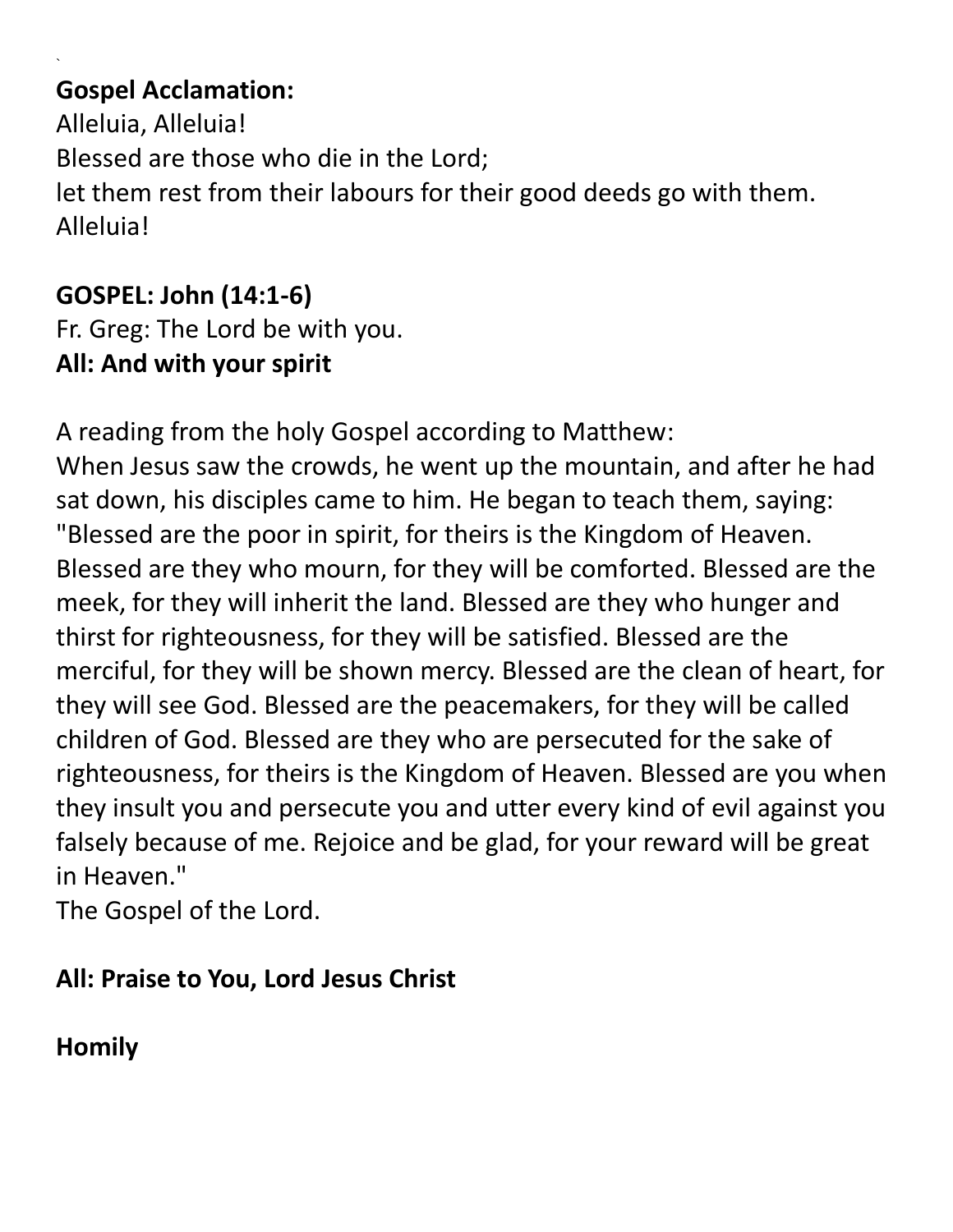#### **Gospel Acclamation:**

`

Alleluia, Alleluia! Blessed are those who die in the Lord; let them rest from their labours for their good deeds go with them. Alleluia!

#### **GOSPEL: John (14:1-6)**

Fr. Greg: The Lord be with you. **All: And with your spirit**

A reading from the holy Gospel according to Matthew:

When Jesus saw the crowds, he went up the mountain, and after he had sat down, his disciples came to him. He began to teach them, saying: "Blessed are the poor in spirit, for theirs is the Kingdom of Heaven. Blessed are they who mourn, for they will be comforted. Blessed are the meek, for they will inherit the land. Blessed are they who hunger and thirst for righteousness, for they will be satisfied. Blessed are the merciful, for they will be shown mercy. Blessed are the clean of heart, for they will see God. Blessed are the peacemakers, for they will be called children of God. Blessed are they who are persecuted for the sake of righteousness, for theirs is the Kingdom of Heaven. Blessed are you when they insult you and persecute you and utter every kind of evil against you falsely because of me. Rejoice and be glad, for your reward will be great in Heaven."

The Gospel of the Lord.

#### **All: Praise to You, Lord Jesus Christ**

# **Homily**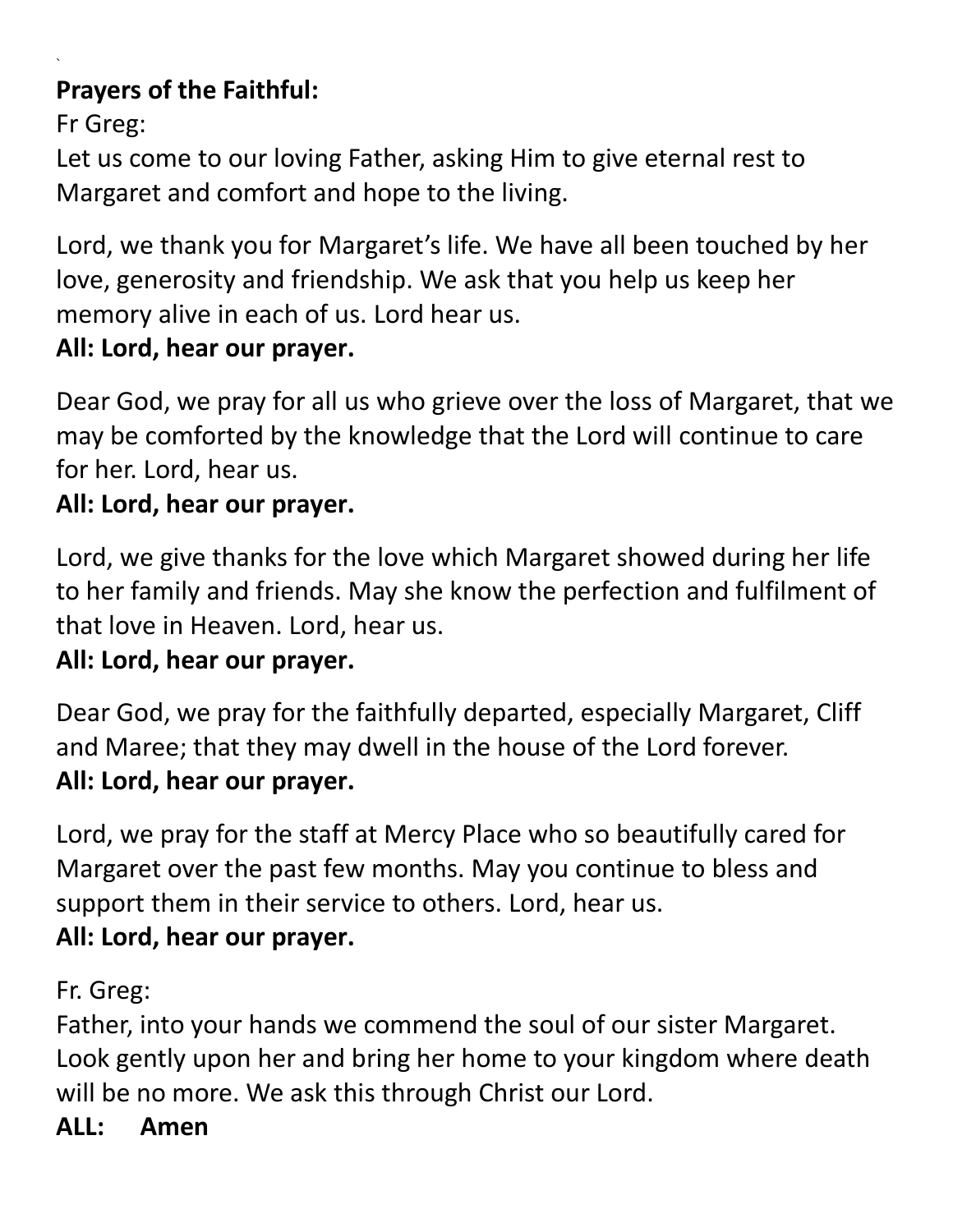### **Prayers of the Faithful:**

Fr Greg:

`

Let us come to our loving Father, asking Him to give eternal rest to Margaret and comfort and hope to the living.

Lord, we thank you for Margaret's life. We have all been touched by her love, generosity and friendship. We ask that you help us keep her memory alive in each of us. Lord hear us.

### **All: Lord, hear our prayer.**

Dear God, we pray for all us who grieve over the loss of Margaret, that we may be comforted by the knowledge that the Lord will continue to care for her. Lord, hear us.

#### **All: Lord, hear our prayer.**

Lord, we give thanks for the love which Margaret showed during her life to her family and friends. May she know the perfection and fulfilment of that love in Heaven. Lord, hear us.

### **All: Lord, hear our prayer.**

Dear God, we pray for the faithfully departed, especially Margaret, Cliff and Maree; that they may dwell in the house of the Lord forever. **All: Lord, hear our prayer.**

Lord, we pray for the staff at Mercy Place who so beautifully cared for Margaret over the past few months. May you continue to bless and support them in their service to others. Lord, hear us. **All: Lord, hear our prayer.**

Fr. Greg:

Father, into your hands we commend the soul of our sister Margaret. Look gently upon her and bring her home to your kingdom where death will be no more. We ask this through Christ our Lord.

### **ALL: Amen**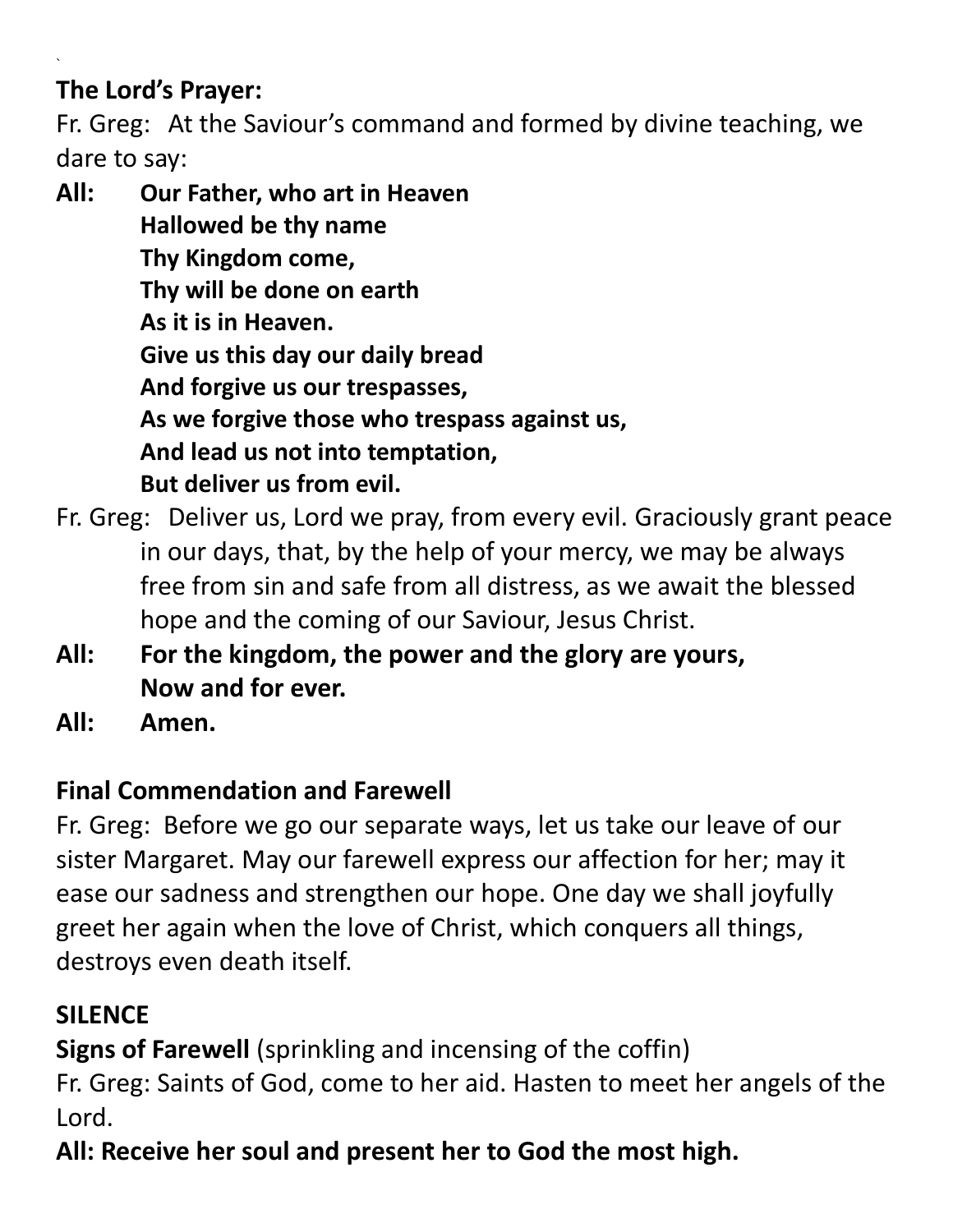#### **The Lord's Prayer:**

`

Fr. Greg: At the Saviour's command and formed by divine teaching, we dare to say:

**All: Our Father, who art in Heaven Hallowed be thy name Thy Kingdom come, Thy will be done on earth As it is in Heaven. Give us this day our daily bread And forgive us our trespasses, As we forgive those who trespass against us, And lead us not into temptation, But deliver us from evil.**

- Fr. Greg: Deliver us, Lord we pray, from every evil. Graciously grant peace in our days, that, by the help of your mercy, we may be always free from sin and safe from all distress, as we await the blessed hope and the coming of our Saviour, Jesus Christ.
- **All: For the kingdom, the power and the glory are yours, Now and for ever.**
- **All: Amen.**

# **Final Commendation and Farewell**

Fr. Greg: Before we go our separate ways, let us take our leave of our sister Margaret. May our farewell express our affection for her; may it ease our sadness and strengthen our hope. One day we shall joyfully greet her again when the love of Christ, which conquers all things, destroys even death itself.

# **SILENCE**

**Signs of Farewell** (sprinkling and incensing of the coffin)

Fr. Greg: Saints of God, come to her aid. Hasten to meet her angels of the Lord.

**All: Receive her soul and present her to God the most high.**